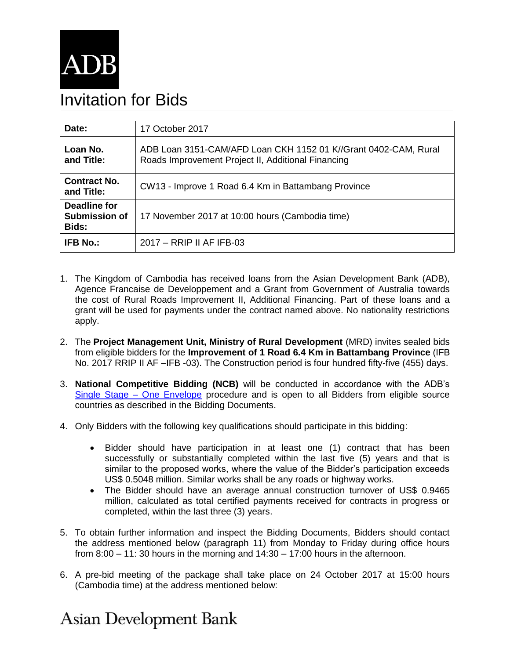

## Invitation for Bids

| Date:                                         | 17 October 2017                                                                                                       |
|-----------------------------------------------|-----------------------------------------------------------------------------------------------------------------------|
| Loan No.<br>and Title:                        | ADB Loan 3151-CAM/AFD Loan CKH 1152 01 K//Grant 0402-CAM, Rural<br>Roads Improvement Project II, Additional Financing |
| <b>Contract No.</b><br>and Title:             | CW13 - Improve 1 Road 6.4 Km in Battambang Province                                                                   |
| Deadline for<br><b>Submission of</b><br>Bids: | 17 November 2017 at 10:00 hours (Cambodia time)                                                                       |
| <b>IFB No.:</b>                               | 2017 - RRIP II AF IFB-03                                                                                              |

- 1. The Kingdom of Cambodia has received loans from the Asian Development Bank (ADB), Agence Francaise de Developpement and a Grant from Government of Australia towards the cost of Rural Roads Improvement II, Additional Financing. Part of these loans and a grant will be used for payments under the contract named above. No nationality restrictions apply.
- 2. The **Project Management Unit, Ministry of Rural Development** (MRD) invites sealed bids from eligible bidders for the **Improvement of 1 Road 6.4 Km in Battambang Province** (IFB No. 2017 RRIP II AF –IFB -03). The Construction period is four hundred fifty-five (455) days.
- 3. **National Competitive Bidding (NCB)** will be conducted in accordance with the ADB's [Single Stage –](https://www.adb.org/site/business-opportunities/operational-procurement/goods-services/bidding-procedures) One Envelope procedure and is open to all Bidders from eligible source countries as described in the Bidding Documents.
- 4. Only Bidders with the following key qualifications should participate in this bidding:
	- Bidder should have participation in at least one (1) contract that has been successfully or substantially completed within the last five (5) years and that is similar to the proposed works, where the value of the Bidder's participation exceeds US\$ 0.5048 million. Similar works shall be any roads or highway works.
	- The Bidder should have an average annual construction turnover of US\$ 0.9465 million, calculated as total certified payments received for contracts in progress or completed, within the last three (3) years.
- 5. To obtain further information and inspect the Bidding Documents, Bidders should contact the address mentioned below (paragraph 11) from Monday to Friday during office hours from 8:00 – 11: 30 hours in the morning and 14:30 – 17:00 hours in the afternoon.
- 6. A pre-bid meeting of the package shall take place on 24 October 2017 at 15:00 hours (Cambodia time) at the address mentioned below:

## **Asian Development Bank**